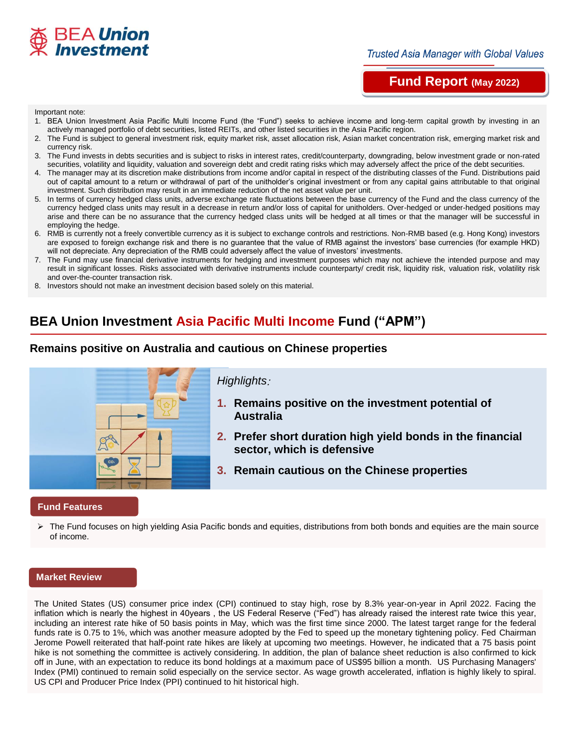

# **Fund Report (May 2022)**

#### Important note:

- 1. BEA Union Investment Asia Pacific Multi Income Fund (the "Fund") seeks to achieve income and long-term capital growth by investing in an actively managed portfolio of debt securities, listed REITs, and other listed securities in the Asia Pacific region.
- 2. The Fund is subject to general investment risk, equity market risk, asset allocation risk, Asian market concentration risk, emerging market risk and currency risk.
- 3. The Fund invests in debts securities and is subject to risks in interest rates, credit/counterparty, downgrading, below investment grade or non-rated securities, volatility and liquidity, valuation and sovereign debt and credit rating risks which may adversely affect the price of the debt securities.
- 4. The manager may at its discretion make distributions from income and/or capital in respect of the distributing classes of the Fund. Distributions paid out of capital amount to a return or withdrawal of part of the unitholder's original investment or from any capital gains attributable to that original investment. Such distribution may result in an immediate reduction of the net asset value per unit.
- 5. In terms of currency hedged class units, adverse exchange rate fluctuations between the base currency of the Fund and the class currency of the currency hedged class units may result in a decrease in return and/or loss of capital for unitholders. Over-hedged or under-hedged positions may arise and there can be no assurance that the currency hedged class units will be hedged at all times or that the manager will be successful in employing the hedge.
- 6. RMB is currently not a freely convertible currency as it is subject to exchange controls and restrictions. Non-RMB based (e.g. Hong Kong) investors are exposed to foreign exchange risk and there is no guarantee that the value of RMB against the investors' base currencies (for example HKD) will not depreciate. Any depreciation of the RMB could adversely affect the value of investors' investments.
- 7. The Fund may use financial derivative instruments for hedging and investment purposes which may not achieve the intended purpose and may result in significant losses. Risks associated with derivative instruments include counterparty/ credit risk, liquidity risk, valuation risk, volatility risk and over-the-counter transaction risk.
- 8. Investors should not make an investment decision based solely on this material.

# **BEA Union Investment Asia Pacific Multi Income Fund ("APM")**

## **Remains positive on Australia and cautious on Chinese properties**



#### **Fund Features**

 $\triangleright$  The Fund focuses on high yielding Asia Pacific bonds and equities, distributions from both bonds and equities are the main source of income.

#### **Market Review**

The United States (US) consumer price index (CPI) continued to stay high, rose by 8.3% year-on-year in April 2022. Facing the inflation which is nearly the highest in 40years , the US Federal Reserve ("Fed") has already raised the interest rate twice this year, including an interest rate hike of 50 basis points in May, which was the first time since 2000. The latest target range for the federal funds rate is 0.75 to 1%, which was another measure adopted by the Fed to speed up the monetary tightening policy. Fed Chairman Jerome Powell reiterated that half-point rate hikes are likely at upcoming two meetings. However, he indicated that a 75 basis point hike is not something the committee is actively considering. In addition, the plan of balance sheet reduction is also confirmed to kick off in June, with an expectation to reduce its bond holdings at a maximum pace of US\$95 billion a month. US Purchasing Managers' Index (PMI) continued to remain solid especially on the service sector. As wage growth accelerated, inflation is highly likely to spiral. US CPI and Producer Price Index (PPI) continued to hit historical high.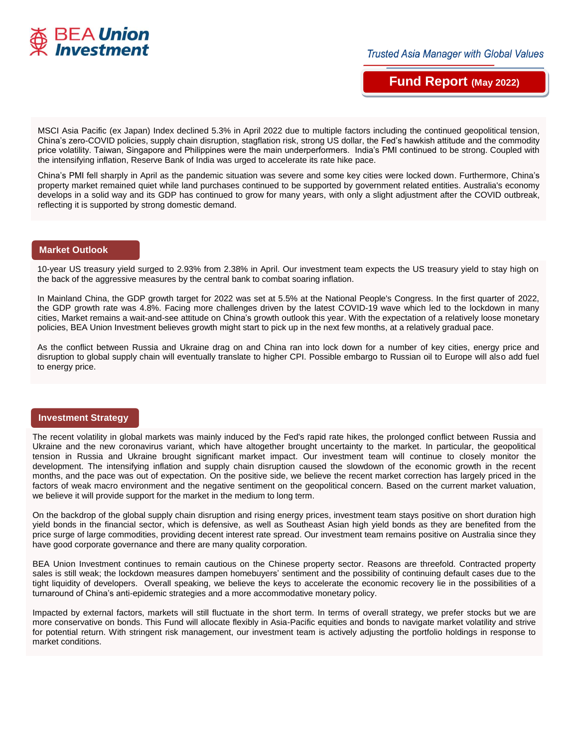

**Fund Report (May 2022)**

MSCI Asia Pacific (ex Japan) Index declined 5.3% in April 2022 due to multiple factors including the continued geopolitical tension, China's zero-COVID policies, supply chain disruption, stagflation risk, strong US dollar, the Fed's hawkish attitude and the commodity price volatility. Taiwan, Singapore and Philippines were the main underperformers. India's PMI continued to be strong. Coupled with the intensifying inflation, Reserve Bank of India was urged to accelerate its rate hike pace.

China's PMI fell sharply in April as the pandemic situation was severe and some key cities were locked down. Furthermore, China's property market remained quiet while land purchases continued to be supported by government related entities. Australia's economy develops in a solid way and its GDP has continued to grow for many years, with only a slight adjustment after the COVID outbreak, reflecting it is supported by strong domestic demand.

### **Market Outlook**

10-year US treasury yield surged to 2.93% from 2.38% in April. Our investment team expects the US treasury yield to stay high on the back of the aggressive measures by the central bank to combat soaring inflation.

In Mainland China, the GDP growth target for 2022 was set at 5.5% at the National People's Congress. In the first quarter of 2022, the GDP growth rate was 4.8%. Facing more challenges driven by the latest COVID-19 wave which led to the lockdown in many cities, Market remains a wait-and-see attitude on China's growth outlook this year. With the expectation of a relatively loose monetary policies, BEA Union Investment believes growth might start to pick up in the next few months, at a relatively gradual pace.

As the conflict between Russia and Ukraine drag on and China ran into lock down for a number of key cities, energy price and disruption to global supply chain will eventually translate to higher CPI. Possible embargo to Russian oil to Europe will also add fuel to energy price.

#### **Investment Strategy**

The recent volatility in global markets was mainly induced by the Fed's rapid rate hikes, the prolonged conflict between Russia and Ukraine and the new coronavirus variant, which have altogether brought uncertainty to the market. In particular, the geopolitical tension in Russia and Ukraine brought significant market impact. Our investment team will continue to closely monitor the development. The intensifying inflation and supply chain disruption caused the slowdown of the economic growth in the recent months, and the pace was out of expectation. On the positive side, we believe the recent market correction has largely priced in the factors of weak macro environment and the negative sentiment on the geopolitical concern. Based on the current market valuation, we believe it will provide support for the market in the medium to long term.

On the backdrop of the global supply chain disruption and rising energy prices, investment team stays positive on short duration high yield bonds in the financial sector, which is defensive, as well as Southeast Asian high yield bonds as they are benefited from the price surge of large commodities, providing decent interest rate spread. Our investment team remains positive on Australia since they have good corporate governance and there are many quality corporation.

BEA Union Investment continues to remain cautious on the Chinese property sector. Reasons are threefold. Contracted property sales is still weak; the lockdown measures dampen homebuyers' sentiment and the possibility of continuing default cases due to the tight liquidity of developers. Overall speaking, we believe the keys to accelerate the economic recovery lie in the possibilities of a turnaround of China's anti-epidemic strategies and a more accommodative monetary policy.

Impacted by external factors, markets will still fluctuate in the short term. In terms of overall strategy, we prefer stocks but we are more conservative on bonds. This Fund will allocate flexibly in Asia-Pacific equities and bonds to navigate market volatility and strive for potential return. With stringent risk management, our investment team is actively adjusting the portfolio holdings in response to market conditions.